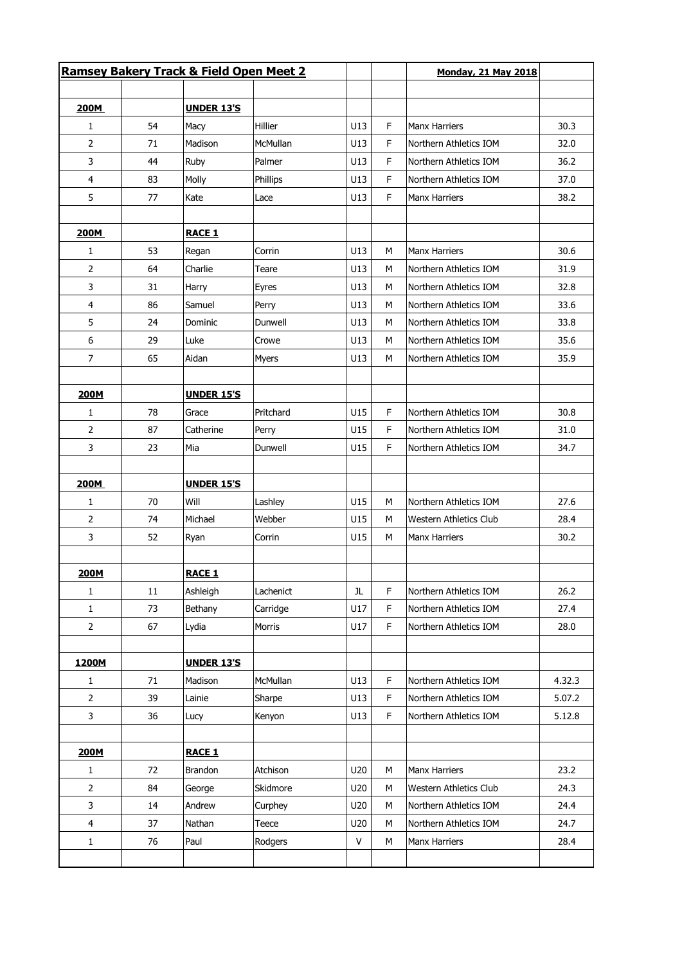|                |        |                   | <b>Ramsey Bakery Track &amp; Field Open Meet 2</b> |              |          | <b>Monday, 21 May 2018</b> |        |
|----------------|--------|-------------------|----------------------------------------------------|--------------|----------|----------------------------|--------|
|                |        |                   |                                                    |              |          |                            |        |
| 200M           | 54     | <b>UNDER 13'S</b> | Hillier                                            | U13          | F        | <b>Manx Harriers</b>       | 30.3   |
| 1              |        | Macy<br>Madison   | <b>McMullan</b>                                    |              | F.       |                            |        |
| $\overline{2}$ | 71     |                   |                                                    | U13          |          | Northern Athletics IOM     | 32.0   |
| 3              | 44     | Ruby              | Palmer                                             | U13          | F.       | Northern Athletics IOM     | 36.2   |
| 4<br>5         | 83     | Molly             | Phillips                                           | U13          | F<br>F.  | Northern Athletics IOM     | 37.0   |
|                | 77     | Kate              | Lace                                               | U13          |          | <b>Manx Harriers</b>       | 38.2   |
| 200M           |        | <b>RACE 1</b>     |                                                    |              |          |                            |        |
| 1              | 53     | Regan             | Corrin                                             | U13          | м        | <b>Manx Harriers</b>       | 30.6   |
| 2              | 64     | Charlie           | Teare                                              | U13          | M        | Northern Athletics IOM     | 31.9   |
| 3              | 31     | Harry             | Eyres                                              | U13          | M        | Northern Athletics IOM     | 32.8   |
| 4              | 86     | Samuel            | Perry                                              | U13          | м        | Northern Athletics IOM     | 33.6   |
| 5              | 24     | Dominic           | Dunwell                                            | U13          | м        | Northern Athletics IOM     | 33.8   |
| 6              | 29     | Luke              | Crowe                                              | U13          | м        | Northern Athletics IOM     | 35.6   |
| $\overline{7}$ | 65     | Aidan             | <b>Myers</b>                                       | U13          | M        | Northern Athletics IOM     | 35.9   |
|                |        | <b>UNDER 15'S</b> |                                                    |              |          |                            |        |
| 200M           | 78     |                   | Pritchard                                          | U15          | F.       | Northern Athletics IOM     | 30.8   |
| 1              |        | Grace             |                                                    |              |          |                            |        |
| $\overline{2}$ | 87     | Catherine         | Perry                                              | U15          | F.<br>F. | Northern Athletics IOM     | 31.0   |
| 3              | 23     | Mia               | Dunwell                                            | U15          |          | Northern Athletics IOM     | 34.7   |
| 200M           |        | <b>UNDER 15'S</b> |                                                    |              |          |                            |        |
| $\mathbf{1}$   | 70     | Will              | Lashley                                            | U15          | м        | Northern Athletics IOM     | 27.6   |
| 2              | 74     | Michael           | Webber                                             | U15          | м        | Western Athletics Club     | 28.4   |
| 3              | 52     | Ryan              | Corrin                                             | U15          | M        | <b>Manx Harriers</b>       | 30.2   |
| 200M           |        | <b>RACE 1</b>     |                                                    |              |          |                            |        |
| $\mathbf{1}$   | $11\,$ | Ashleigh          | Lachenict                                          | JL           | F        | Northern Athletics IOM     | 26.2   |
| $\mathbf{1}$   | 73     | Bethany           | Carridge                                           | U17          | F        | Northern Athletics IOM     | 27.4   |
| $\overline{2}$ | 67     | Lydia             | Morris                                             | U17          | F        | Northern Athletics IOM     | 28.0   |
|                |        |                   |                                                    |              |          |                            |        |
| 1200M          |        | <b>UNDER 13'S</b> |                                                    |              |          |                            |        |
| $\mathbf{1}$   | 71     | Madison           | McMullan                                           | U13          | F        | Northern Athletics IOM     | 4.32.3 |
| $\overline{2}$ | 39     | Lainie            | Sharpe                                             | U13          | F        | Northern Athletics IOM     | 5.07.2 |
| 3              | 36     | Lucy              | Kenyon                                             | U13          | F        | Northern Athletics IOM     | 5.12.8 |
| 200M           |        | <b>RACE 1</b>     |                                                    |              |          |                            |        |
| $\mathbf{1}$   | 72     | Brandon           | Atchison                                           | U20          | M        | <b>Manx Harriers</b>       | 23.2   |
| $\overline{2}$ | 84     | George            | Skidmore                                           | U20          | М        | Western Athletics Club     | 24.3   |
| 3              | 14     | Andrew            | Curphey                                            | U20          | М        | Northern Athletics IOM     | 24.4   |
| 4              | 37     | Nathan            | Teece                                              | U20          | M        | Northern Athletics IOM     | 24.7   |
| $\mathbf{1}$   | 76     | Paul              | Rodgers                                            | $\mathsf{V}$ | M        | <b>Manx Harriers</b>       | 28.4   |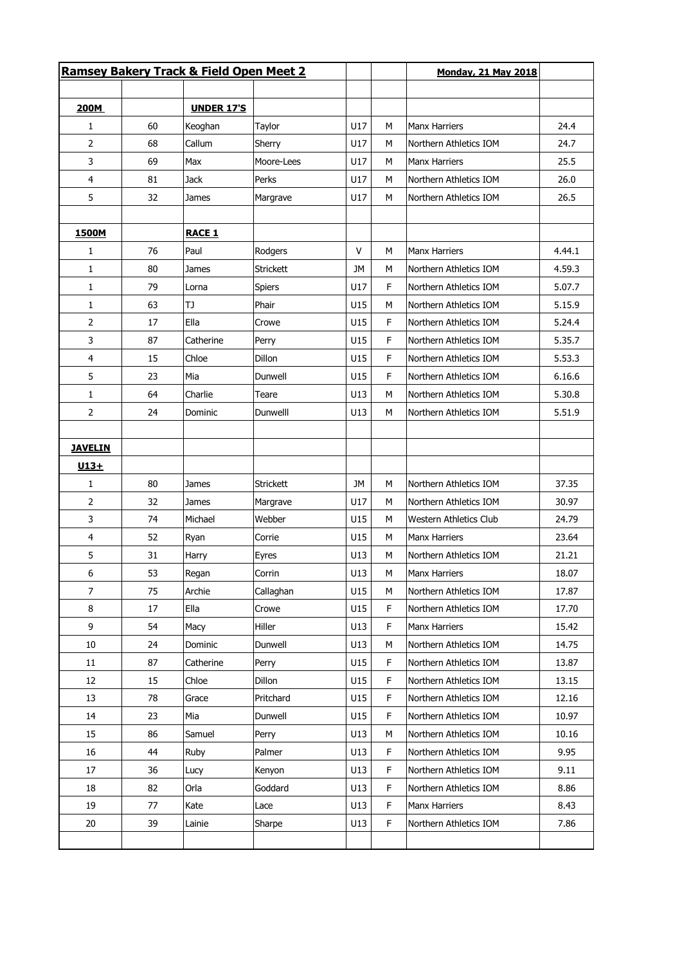|                |    | Ramsey Bakery Track & Field Open Meet 2 |                  |           |   | <b>Monday, 21 May 2018</b> |        |
|----------------|----|-----------------------------------------|------------------|-----------|---|----------------------------|--------|
|                |    |                                         |                  |           |   |                            |        |
| 200M           |    | <b>UNDER 17'S</b>                       |                  |           |   |                            |        |
| 1              | 60 | Keoghan                                 | Taylor           | U17       | M | <b>Manx Harriers</b>       | 24.4   |
| 2              | 68 | Callum                                  | Sherry           | U17       | M | Northern Athletics IOM     | 24.7   |
| 3              | 69 | Max                                     | Moore-Lees       | U17       | М | <b>Manx Harriers</b>       | 25.5   |
| 4              | 81 | <b>Jack</b>                             | Perks            | U17       | M | Northern Athletics IOM     | 26.0   |
| 5              | 32 | James                                   | Margrave         | U17       | М | Northern Athletics IOM     | 26.5   |
| 1500M          |    | <b>RACE 1</b>                           |                  |           |   |                            |        |
| 1              | 76 | Paul                                    | Rodgers          | v         | М | <b>Manx Harriers</b>       | 4.44.1 |
| 1              | 80 | James                                   | Strickett        | <b>JM</b> | M | Northern Athletics IOM     | 4.59.3 |
| 1              | 79 | Lorna                                   | <b>Spiers</b>    | U17       | F | Northern Athletics IOM     | 5.07.7 |
| $\mathbf{1}$   | 63 | TJ                                      | Phair            | U15       | М | Northern Athletics IOM     | 5.15.9 |
| 2              | 17 | Ella                                    | Crowe            | U15       | F | Northern Athletics IOM     | 5.24.4 |
| 3              | 87 | Catherine                               | Perry            | U15       | F | Northern Athletics IOM     | 5.35.7 |
| 4              | 15 | Chloe                                   | Dillon           | U15       | F | Northern Athletics IOM     | 5.53.3 |
| 5              | 23 | Mia                                     | Dunwell          | U15       | F | Northern Athletics IOM     | 6.16.6 |
| 1              | 64 | Charlie                                 | Teare            | U13       | М | Northern Athletics IOM     | 5.30.8 |
| 2              | 24 | Dominic                                 | Dunwelll         | U13       | M | Northern Athletics IOM     | 5.51.9 |
| <b>JAVELIN</b> |    |                                         |                  |           |   |                            |        |
| $U13+$         |    |                                         |                  |           |   |                            |        |
| $\mathbf{1}$   | 80 | James                                   | <b>Strickett</b> | JM        | M | Northern Athletics IOM     | 37.35  |
| 2              | 32 | James                                   | Margrave         | U17       | М | Northern Athletics IOM     | 30.97  |
| 3              | 74 | Michael                                 | Webber           | U15       | М | Western Athletics Club     | 24.79  |
| 4              | 52 | Ryan                                    | Corrie           | U15       | M | <b>Manx Harriers</b>       | 23.64  |
| 5              | 31 | Harry                                   | Eyres            | U13       | М | Northern Athletics IOM     | 21.21  |
| 6              | 53 | Regan                                   | Corrin           | U13       | М | <b>Manx Harriers</b>       | 18.07  |
| $\overline{7}$ | 75 | Archie                                  | Callaghan        | U15       | M | Northern Athletics IOM     | 17.87  |
| 8              | 17 | Ella                                    | Crowe            | U15       | F | Northern Athletics IOM     | 17.70  |
| 9              | 54 | Macy                                    | Hiller           | U13       | F | <b>Manx Harriers</b>       | 15.42  |
| 10             | 24 | Dominic                                 | Dunwell          | U13       | М | Northern Athletics IOM     | 14.75  |
| 11             | 87 | Catherine                               | Perry            | U15       | F | Northern Athletics IOM     | 13.87  |
| 12             | 15 | Chloe                                   | Dillon           | U15       | F | Northern Athletics IOM     | 13.15  |
| 13             | 78 | Grace                                   | Pritchard        | U15       | F | Northern Athletics IOM     | 12.16  |
| 14             | 23 | Mia                                     | Dunwell          | U15       | F | Northern Athletics IOM     | 10.97  |
| 15             | 86 |                                         |                  | U13       | M | Northern Athletics IOM     | 10.16  |
|                |    | Samuel                                  | Perry            |           |   |                            |        |
| 16             | 44 | Ruby                                    | Palmer           | U13       | F | Northern Athletics IOM     | 9.95   |
| 17             | 36 | Lucy                                    | Kenyon           | U13       | F | Northern Athletics IOM     | 9.11   |
| 18             | 82 | Orla                                    | Goddard          | U13       | F | Northern Athletics IOM     | 8.86   |
| 19             | 77 | Kate                                    | Lace             | U13       | F | Manx Harriers              | 8.43   |
| 20             | 39 | Lainie                                  | Sharpe           | U13       | F | Northern Athletics IOM     | 7.86   |